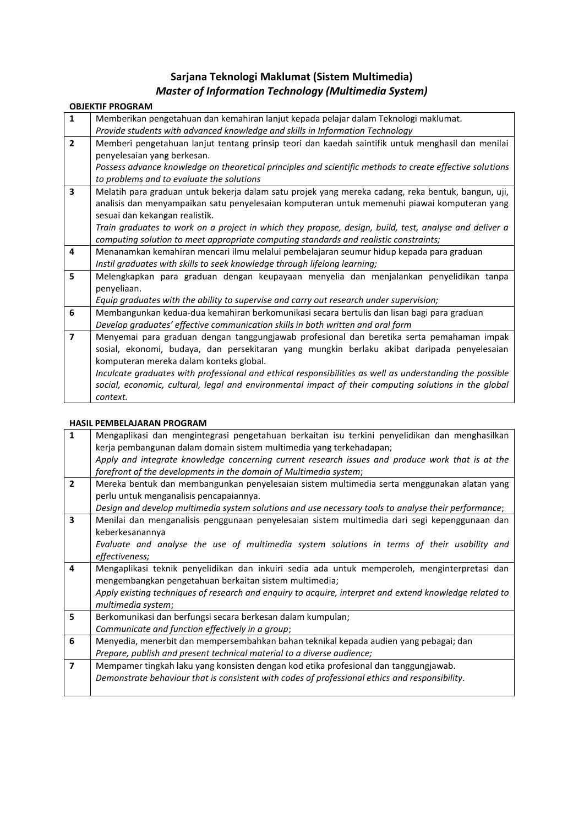## **Sarjana Teknologi Maklumat (Sistem Multimedia)** *Master of Information Technology (Multimedia System)*

## **OBJEKTIF PROGRAM**

| $\mathbf{1}$            | Memberikan pengetahuan dan kemahiran lanjut kepada pelajar dalam Teknologi maklumat.                     |  |  |  |
|-------------------------|----------------------------------------------------------------------------------------------------------|--|--|--|
|                         | Provide students with advanced knowledge and skills in Information Technology                            |  |  |  |
| $\overline{2}$          | Memberi pengetahuan lanjut tentang prinsip teori dan kaedah saintifik untuk menghasil dan menilai        |  |  |  |
|                         | penyelesaian yang berkesan.                                                                              |  |  |  |
|                         | Possess advance knowledge on theoretical principles and scientific methods to create effective solutions |  |  |  |
|                         | to problems and to evaluate the solutions                                                                |  |  |  |
| $\overline{\mathbf{3}}$ | Melatih para graduan untuk bekerja dalam satu projek yang mereka cadang, reka bentuk, bangun, uji,       |  |  |  |
|                         | analisis dan menyampaikan satu penyelesaian komputeran untuk memenuhi piawai komputeran yang             |  |  |  |
|                         | sesuai dan kekangan realistik.                                                                           |  |  |  |
|                         | Train graduates to work on a project in which they propose, design, build, test, analyse and deliver a   |  |  |  |
|                         | computing solution to meet appropriate computing standards and realistic constraints;                    |  |  |  |
| 4                       | Menanamkan kemahiran mencari ilmu melalui pembelajaran seumur hidup kepada para graduan                  |  |  |  |
|                         | Instil graduates with skills to seek knowledge through lifelong learning;                                |  |  |  |
| 5                       | Melengkapkan para graduan dengan keupayaan menyelia dan menjalankan penyelidikan tanpa                   |  |  |  |
|                         | penyeliaan.                                                                                              |  |  |  |
|                         | Equip graduates with the ability to supervise and carry out research under supervision;                  |  |  |  |
| 6                       | Membangunkan kedua-dua kemahiran berkomunikasi secara bertulis dan lisan bagi para graduan               |  |  |  |
|                         | Develop graduates' effective communication skills in both written and oral form                          |  |  |  |
| $\overline{\mathbf{z}}$ | Menyemai para graduan dengan tanggungjawab profesional dan beretika serta pemahaman impak                |  |  |  |
|                         | sosial, ekonomi, budaya, dan persekitaran yang mungkin berlaku akibat daripada penyelesaian              |  |  |  |
|                         | komputeran mereka dalam konteks global.                                                                  |  |  |  |
|                         | Inculcate graduates with professional and ethical responsibilities as well as understanding the possible |  |  |  |
|                         | social, economic, cultural, legal and environmental impact of their computing solutions in the global    |  |  |  |
|                         | context.                                                                                                 |  |  |  |

## **HASIL PEMBELAJARAN PROGRAM**

| $\mathbf{1}$            |                                                                                                         | Mengaplikasi dan mengintegrasi pengetahuan berkaitan isu terkini penyelidikan dan menghasilkan |  |  |  |  |
|-------------------------|---------------------------------------------------------------------------------------------------------|------------------------------------------------------------------------------------------------|--|--|--|--|
|                         |                                                                                                         | kerja pembangunan dalam domain sistem multimedia yang terkehadapan;                            |  |  |  |  |
|                         | Apply and integrate knowledge concerning current research issues and produce work that is at the        |                                                                                                |  |  |  |  |
|                         |                                                                                                         | forefront of the developments in the domain of Multimedia system;                              |  |  |  |  |
| $\overline{2}$          |                                                                                                         | Mereka bentuk dan membangunkan penyelesaian sistem multimedia serta menggunakan alatan yang    |  |  |  |  |
|                         |                                                                                                         | perlu untuk menganalisis pencapaiannya.                                                        |  |  |  |  |
|                         | Design and develop multimedia system solutions and use necessary tools to analyse their performance;    |                                                                                                |  |  |  |  |
| $\overline{\mathbf{3}}$ | Menilai dan menganalisis penggunaan penyelesaian sistem multimedia dari segi kepenggunaan dan           |                                                                                                |  |  |  |  |
|                         |                                                                                                         | keberkesanannya                                                                                |  |  |  |  |
|                         |                                                                                                         | Evaluate and analyse the use of multimedia system solutions in terms of their usability and    |  |  |  |  |
|                         |                                                                                                         | effectiveness;                                                                                 |  |  |  |  |
| 4                       |                                                                                                         | Mengaplikasi teknik penyelidikan dan inkuiri sedia ada untuk memperoleh, menginterpretasi dan  |  |  |  |  |
|                         |                                                                                                         | mengembangkan pengetahuan berkaitan sistem multimedia;                                         |  |  |  |  |
|                         | Apply existing techniques of research and enquiry to acquire, interpret and extend knowledge related to |                                                                                                |  |  |  |  |
|                         |                                                                                                         | multimedia system;                                                                             |  |  |  |  |
| 5                       |                                                                                                         | Berkomunikasi dan berfungsi secara berkesan dalam kumpulan;                                    |  |  |  |  |
|                         |                                                                                                         | Communicate and function effectively in a group;                                               |  |  |  |  |
| 6                       |                                                                                                         | Menyedia, menerbit dan mempersembahkan bahan teknikal kepada audien yang pebagai; dan          |  |  |  |  |
|                         |                                                                                                         | Prepare, publish and present technical material to a diverse audience;                         |  |  |  |  |
| $\overline{7}$          |                                                                                                         | Mempamer tingkah laku yang konsisten dengan kod etika profesional dan tanggungjawab.           |  |  |  |  |
|                         | Demonstrate behaviour that is consistent with codes of professional ethics and responsibility.          |                                                                                                |  |  |  |  |
|                         |                                                                                                         |                                                                                                |  |  |  |  |